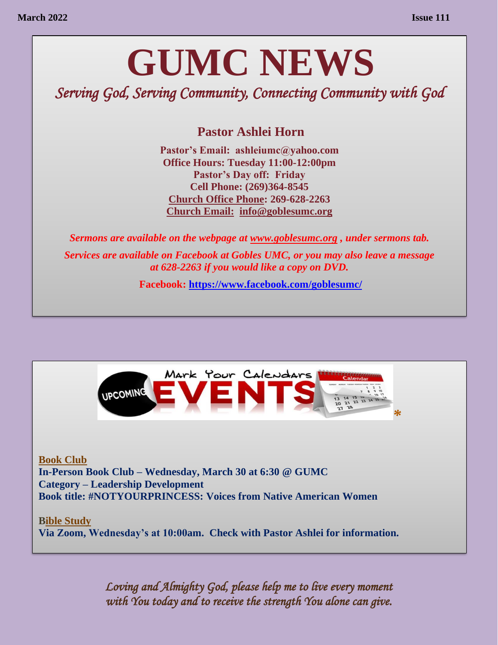# **GUMC NEWS**

*Serving God, Serving Community, Connecting Community with God* 

**Pastor Ashlei Horn** 

**Pastor's Email: ashleiumc@yahoo.com Office Hours: Tuesday 11:00-12:00pm Pastor's Day off: Friday Cell Phone: (269)364-8545 Church Office Phone: 269-628-2263 Church Email: [info@goblesumc.org](mailto:info@goblesumc.org)** 

*Sermons are available on the webpage at [www.goblesumc.org](http://www.goblesumc.org/) , under sermons tab. Services are available on Facebook at Gobles UMC, or you may also leave a message at 628-2263 if you would like a copy on DVD.*

**Facebook:<https://www.facebook.com/goblesumc/>**



**Book Club In-Person Book Club – Wednesday, March 30 at 6:30 @ GUMC Category – Leadership Development Book title: #NOTYOURPRINCESS: Voices from Native American Women**

**Bible Study Via Zoom, Wednesday's at 10:00am. Check with Pastor Ashlei for information.** 

> *Loving and Almighty God, please help me to live every moment with You today and to receive the strength You alone can give.*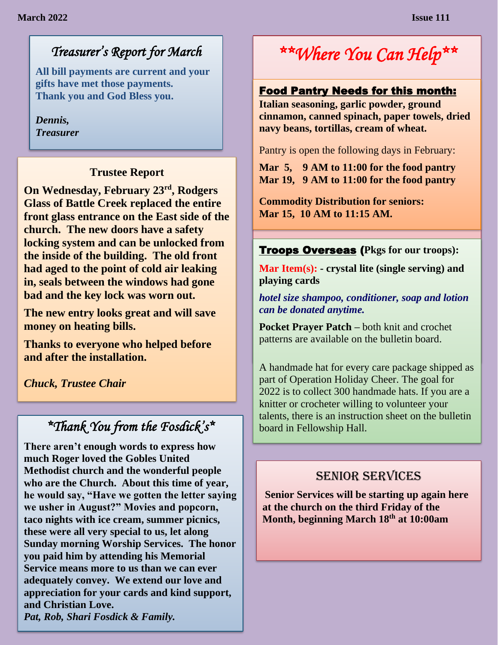# *Treasurer's Report for March*

**All bill payments are current and your gifts have met those payments. Thank you and God Bless you.**

*Dennis, Treasurer*

#### **Trustee Report**

**On Wednesday, February 23rd, Rodgers Glass of Battle Creek replaced the entire front glass entrance on the East side of the church. The new doors have a safety locking system and can be unlocked from the inside of the building. The old front had aged to the point of cold air leaking in, seals between the windows had gone bad and the key lock was worn out.** 

**The new entry looks great and will save money on heating bills.** 

**Thanks to everyone who helped before and after the installation.**

*Chuck, Trustee Chair*

# *\*Thank You from the Fosdick's\**

**There aren't enough words to express how much Roger loved the Gobles United Methodist church and the wonderful people who are the Church. About this time of year, he would say, "Have we gotten the letter saying we usher in August?" Movies and popcorn, taco nights with ice cream, summer picnics, these were all very special to us, let along Sunday morning Worship Services. The honor you paid him by attending his Memorial Service means more to us than we can ever adequately convey. We extend our love and appreciation for your cards and kind support, and Christian Love.** *Pat, Rob, Shari Fosdick & Family.* 

# *\*\*Where You Can Help\*\**

# Food Pantry Needs for this month:<br>-

**Italian seasoning, garlic powder, ground cinnamon, canned spinach, paper towels, dried navy beans, tortillas, cream of wheat.** 

Pantry is open the following days in February:

**Mar 5, 9 AM to 11:00 for the food pantry Mar 19, 9 AM to 11:00 for the food pantry**

**Commodity Distribution for seniors: Mar 15, 10 AM to 11:15 AM.**

#### Troops Overseas (**Pkgs for our troops):**

**Mar Item(s): - crystal lite (single serving) and playing cards**

*hotel size shampoo, conditioner, soap and lotion can be donated anytime.* 

**Pocket Prayer Patch –** both knit and crochet patterns are available on the bulletin board.

A handmade hat for every care package shipped as part of Operation Holiday Cheer. The goal for 2022 is to collect 300 handmade hats. If you are a knitter or crocheter willing to volunteer your talents, there is an instruction sheet on the bulletin board in Fellowship Hall.

### SENIOR SERVICES

**Senior Services will be starting up again here at the church on the third Friday of the Month, beginning March 18th at 10:00am**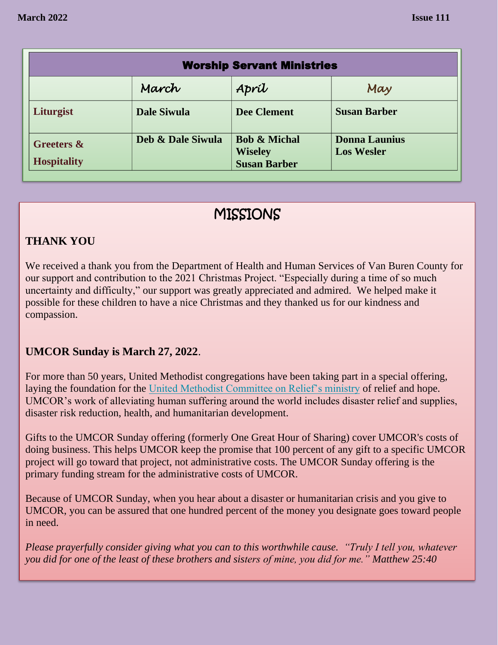| <b>Worship Servant Ministries</b>           |                    |                                                                  |                                           |  |
|---------------------------------------------|--------------------|------------------------------------------------------------------|-------------------------------------------|--|
|                                             | March              | Apríl                                                            | May                                       |  |
| Liturgist                                   | <b>Dale Siwula</b> | <b>Dee Clement</b>                                               | <b>Susan Barber</b>                       |  |
| <b>Greeters &amp;</b><br><b>Hospitality</b> | Deb & Dale Siwula  | <b>Bob &amp; Michal</b><br><b>Wiseley</b><br><b>Susan Barber</b> | <b>Donna Launius</b><br><b>Los Wesler</b> |  |

## MISSIONS

#### **THANK YOU**

We received a thank you from the Department of Health and Human Services of Van Buren County for our support and contribution to the 2021 Christmas Project. "Especially during a time of so much uncertainty and difficulty," our support was greatly appreciated and admired. We helped make it possible for these children to have a nice Christmas and they thanked us for our kindness and compassion.

#### **UMCOR Sunday is March 27, 2022**.

For more than 50 years, United Methodist congregations have been taking part in a special offering, laying the foundation for the [United Methodist Committee on Relief's ministry](https://www.umcmission.org/umcor) of relief and hope. UMCOR's work of alleviating human suffering around the world includes disaster relief and supplies, disaster risk reduction, health, and humanitarian development.

Gifts to the UMCOR Sunday offering (formerly One Great Hour of Sharing) cover UMCOR's costs of doing business. This helps UMCOR keep the promise that 100 percent of any gift to a specific UMCOR project will go toward that project, not administrative costs. The UMCOR Sunday offering is the primary funding stream for the administrative costs of UMCOR.

Because of UMCOR Sunday, when you hear about a disaster or humanitarian crisis and you give to UMCOR, you can be assured that one hundred percent of the money you designate goes toward people in need.

*Please prayerfully consider giving what you can to this worthwhile cause. "Truly I tell you, whatever you did for one of the least of these brothers and sisters of mine, you did for me." Matthew 25:40*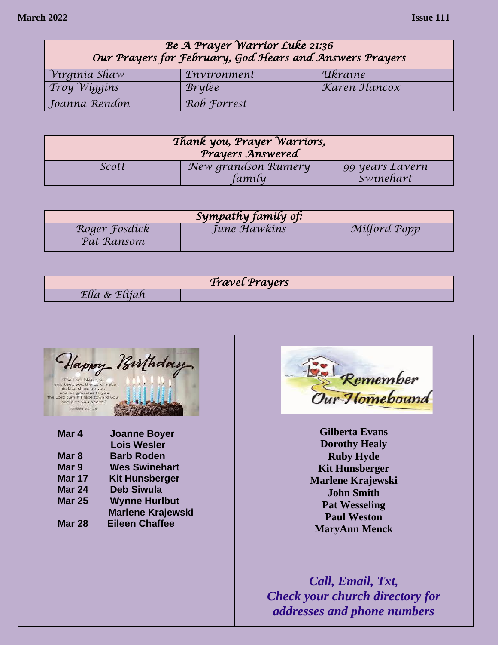| Be A Prayer Warrior Luke 21:36<br>Our Prayers for February, God Hears and Answers Prayers |               |              |  |
|-------------------------------------------------------------------------------------------|---------------|--------------|--|
| Virginia Shaw                                                                             | Environment   | Ukraine      |  |
| <i>Troy Wiggins</i>                                                                       | <b>Brylee</b> | Karen Hancox |  |
| Joanna Rendon                                                                             | Rob Forrest   |              |  |

| Thank you, Prayer Warriors,<br>Prayers Answered |                               |                              |  |
|-------------------------------------------------|-------------------------------|------------------------------|--|
| Scott                                           | New grandson Rumery<br>family | 99 years Lavern<br>Swinehart |  |

| Sympathy family of: |              |              |  |  |
|---------------------|--------------|--------------|--|--|
| Roger Fosdick       | June Hawkins | Milford Popp |  |  |
| Pat Ransom          |              |              |  |  |

| <i>Travel Prayers</i> |  |  |  |
|-----------------------|--|--|--|
| Σιια α<br>Litran      |  |  |  |





**Gilberta Evans Dorothy Healy Ruby Hyde Kit Hunsberger Marlene Krajewski John Smith Pat Wesseling Paul Weston MaryAnn Menck**

*Call, Email, Txt, Check your church directory for addresses and phone numbers*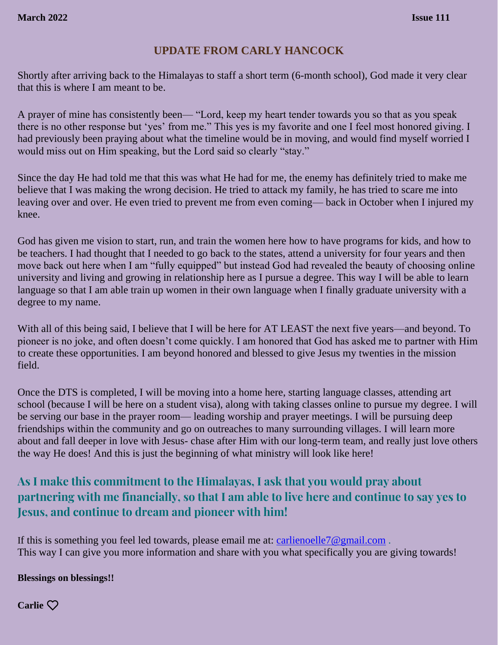#### **UPDATE FROM CARLY HANCOCK**

Shortly after arriving back to the Himalayas to staff a short term (6-month school), God made it very clear that this is where I am meant to be.

A prayer of mine has consistently been— "Lord, keep my heart tender towards you so that as you speak there is no other response but 'yes' from me." This yes is my favorite and one I feel most honored giving. I had previously been praying about what the timeline would be in moving, and would find myself worried I would miss out on Him speaking, but the Lord said so clearly "stay."

Since the day He had told me that this was what He had for me, the enemy has definitely tried to make me believe that I was making the wrong decision. He tried to attack my family, he has tried to scare me into leaving over and over. He even tried to prevent me from even coming— back in October when I injured my knee.

God has given me vision to start, run, and train the women here how to have programs for kids, and how to be teachers. I had thought that I needed to go back to the states, attend a university for four years and then move back out here when I am "fully equipped" but instead God had revealed the beauty of choosing online university and living and growing in relationship here as I pursue a degree. This way I will be able to learn language so that I am able train up women in their own language when I finally graduate university with a degree to my name.

With all of this being said, I believe that I will be here for AT LEAST the next five years—and beyond. To pioneer is no joke, and often doesn't come quickly. I am honored that God has asked me to partner with Him to create these opportunities. I am beyond honored and blessed to give Jesus my twenties in the mission field.

Once the DTS is completed, I will be moving into a home here, starting language classes, attending art school (because I will be here on a student visa), along with taking classes online to pursue my degree. I will be serving our base in the prayer room— leading worship and prayer meetings. I will be pursuing deep friendships within the community and go on outreaches to many surrounding villages. I will learn more about and fall deeper in love with Jesus- chase after Him with our long-term team, and really just love others the way He does! And this is just the beginning of what ministry will look like here!

#### **As I make this commitment to the Himalayas, I ask that you would pray about partnering with me financially, so that I am able to live here and continue to say yes to Jesus, and continue to dream and pioneer with him!**

If this is something you feel led towards, please email me at: [carlienoelle7@gmail.com](mailto:carlienoelle7@gmail.com) . This way I can give you more information and share with you what specifically you are giving towards!

**Blessings on blessings!!** 

**Carlie**